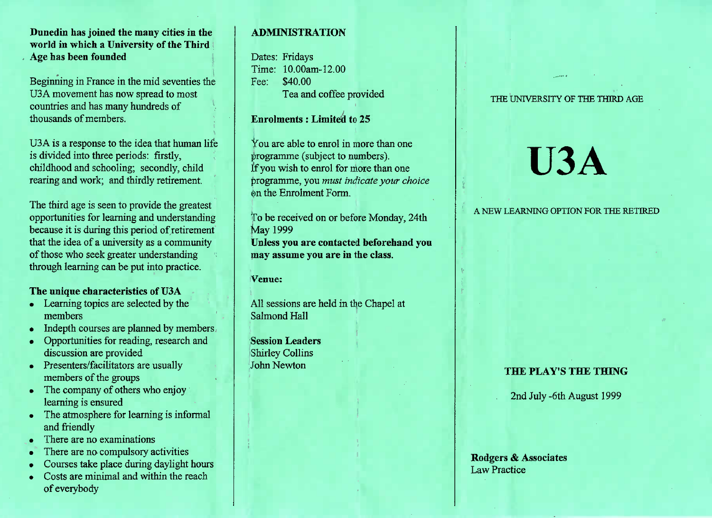**Dunedin has joined the many cities in the world in which a University of the ThirdAge has been founded**

Beginning in France in the mid seventies theUSA movement has now spread to mostcountries and has many hundreds ofthousands of members.

USA is a response to the idea that human lifeis divided into three periods: firstly, childhood and schooling; secondly, childrearing and work; and thirdly retirement.

The third age is seen to provide the greatest opportunities for learning and understanding because it is during this period of retirement that the idea of a university as a communityof those who seek greater understandingthrough learning can be put into practice.

## **The unique characteristics of U3A**

- Learning topics are selected by the members
- Indepth courses are planned by members
- Opportunities for reading, research anddiscussion are provided
- Presenters/facilitators are usually members of the groups
- The company of others who enjoylearning is ensured
- The atmosphere for learning is informal and friendly
- There are no examinations
- There are no compulsory activities
- Courses take place during daylight hours
- Costs are minimal and within the reachof everybody

# **ADMINISTRATION**

Dates: Fridays Time: 10.00am-12.00Fee: \$40.00Tea and coffee provided

# **Enrolments : Limited to** 25

You are able to enrol in more than oneprogramme (subject to numbers). If you wish to enrol for more than one programme, you *must indicate your choice*on the Enrolment Form.

To be received on or before Monday, 24thMay 1999 **Unless you are contacted beforehand youmay assume you are in the class.**

**Venue:**

All sessions are held in the Chapel atSalmond Hall

**Session Leaders**Shirley CollinsJohn Newton

#### THE UNIVERSITY OF THE THIRD AGE

# **USA**

## A NEW LEARNING OPTION FOR THE RETIRED

## **THE PLAY'S THE THING**

2nd July-6th August 1999

**Rodgers & Associates**Law Practice